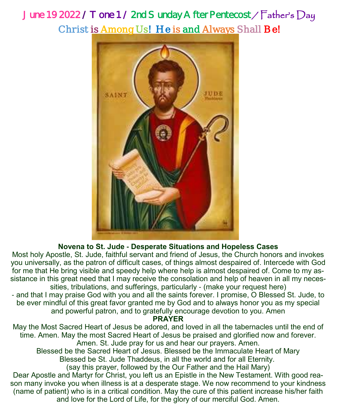## June 19 2022 / T one 1 / 2nd S unday A fter Pentecost /  $\sqrt{\mathsf{F}}$ ather's Day Christ is Among Us! He is and Always Shall Be!



**Novena to St. Jude - Desperate Situations and Hopeless Cases**

Most holy Apostle, St. Jude, faithful servant and friend of Jesus, the Church honors and invokes you universally, as the patron of difficult cases, of things almost despaired of. Intercede with God for me that He bring visible and speedy help where help is almost despaired of. Come to my assistance in this great need that I may receive the consolation and help of heaven in all my necessities, tribulations, and sufferings, particularly - (make your request here)

- and that I may praise God with you and all the saints forever. I promise, O Blessed St. Jude, to be ever mindful of this great favor granted me by God and to always honor you as my special and powerful patron, and to gratefully encourage devotion to you. Amen

#### **PRAYER**

May the Most Sacred Heart of Jesus be adored, and loved in all the tabernacles until the end of time. Amen. May the most Sacred Heart of Jesus be praised and glorified now and forever. Amen. St. Jude pray for us and hear our prayers. Amen.

Blessed be the Sacred Heart of Jesus. Blessed be the Immaculate Heart of Mary Blessed be St. Jude Thaddeus, in all the world and for all Eternity.

(say this prayer, followed by the Our Father and the Hail Mary)

Dear Apostle and Martyr for Christ, you left us an Epistle in the New Testament. With good reason many invoke you when illness is at a desperate stage. We now recommend to your kindness (name of patient) who is in a critical condition. May the cure of this patient increase his/her faith and love for the Lord of Life, for the glory of our merciful God. Amen.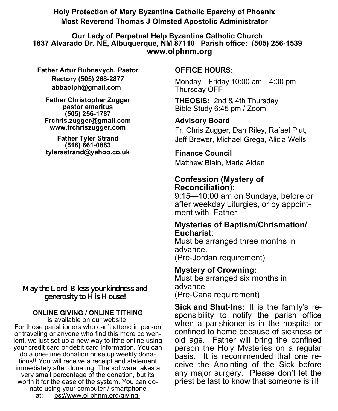**Holy Protection of Mary Byzantine Catholic Eparchy of Phoenix Most Reverend Thomas J Olmsted Apostolic Administrator** 

#### **Our Lady of Perpetual Help Byzantine Catholic Church 1837 Alvarado Dr. NE, Albuquerque, NM 87110 Parish office: (505) 256-1539 www.olphnm.org**

**Father Artur Bubnevych, Pastor Rectory (505) 268-2877 abbaolph@gmail.com** 

**Father Christopher Zugger pastor emeritus (505) 256-1787 Frchris.zugger@gmail.com www.frchriszugger.com** 

**Father Tyler Strand (516) 661-0883 tylerastrand@yahoo.co.uk**

#### May the Lord Bless your kindness and generosity to His House!

#### **ONLINE GIVING / ONLINE TITHING**

is available on our website: For those parishioners who can't attend in person or traveling or anyone who find this more convenient, we just set up a new way to tithe online using your credit card or debit card information. You can do a one-time donation or setup weekly donations!! You will receive a receipt and statement immediately after donating. The software takes a very small percentage of the donation, but its worth it for the ease of the system. You can donate using your computer / smartphone at: [ps://www.ol phnm.org/giving.](https://www.olphnm.org/giving) 

#### **OFFICE HOURS:**

Monday—Friday 10:00 am—4:00 pm Thursday OFF

**THEOSIS:** 2nd & 4th Thursday Bible Study 6:45 pm / Zoom

#### **Advisory Board**

Fr. Chris Zugger, Dan Riley, Rafael Plut, Jeff Brewer, Michael Grega, Alicia Wells

#### **Finance Council**

Matthew Blain, Maria Alden

#### **Confession (Mystery of Reconciliation**):

9:15—10:00 am on Sundays, before or after weekday Liturgies, or by appointment with Father

#### **Mysteries of Baptism/Chrismation/ Eucharist**:

Must be arranged three months in advance. (Pre-Jordan requirement)

#### **Mystery of Crowning:**

Must be arranged six months in advance (Pre-Cana requirement)

**Sick and Shut-Ins:** It is the family's responsibility to notify the parish office when a parishioner is in the hospital or confined to home because of sickness or old age. Father will bring the confined person the Holy Mysteries on a regular basis. It is recommended that one receive the Anointing of the Sick before any major surgery. Please don't let the priest be last to know that someone is ill!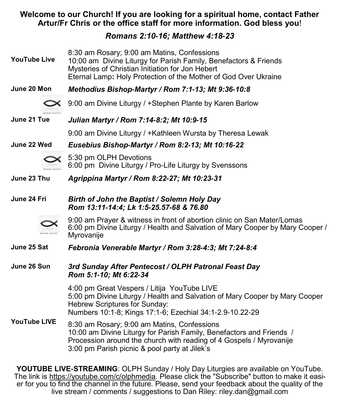#### **Welcome to our Church! If you are looking for a spiritual home, contact Father Artur/Fr Chris or the office staff for more information. God bless you**!

#### *Romans 2:10-16; Matthew 4:18-23*

| <b>YouTube Live</b> | 8:30 am Rosary; 9:00 am Matins, Confessions<br>10:00 am Divine Liturgy for Parish Family, Benefactors & Friends<br>Mysteries of Christian Initiation for Jon Hebert<br>Eternal Lamp: Holy Protection of the Mother of God Over Ukraine      |
|---------------------|---------------------------------------------------------------------------------------------------------------------------------------------------------------------------------------------------------------------------------------------|
| June 20 Mon         | Methodius Bishop-Martyr / Rom 7:1-13; Mt 9:36-10:8                                                                                                                                                                                          |
|                     | 9:00 am Divine Liturgy / +Stephen Plante by Karen Barlow                                                                                                                                                                                    |
| June 21 Tue         | Julian Martyr / Rom 7:14-8:2; Mt 10:9-15                                                                                                                                                                                                    |
|                     | 9:00 am Divine Liturgy / +Kathleen Wursta by Theresa Lewak                                                                                                                                                                                  |
| June 22 Wed         | Eusebius Bishop-Martyr / Rom 8:2-13; Mt 10:16-22                                                                                                                                                                                            |
|                     | 5:30 pm OLPH Devotions<br>6:00 pm Divine Liturgy / Pro-Life Liturgy by Svenssons                                                                                                                                                            |
| June 23 Thu         | Agrippina Martyr / Rom 8:22-27; Mt 10:23-31                                                                                                                                                                                                 |
| June 24 Fri         | Birth of John the Baptist / Solemn Holy Day<br>Rom 13:11-14:4; Lk 1:5-25.57-68 & 76.80                                                                                                                                                      |
|                     | 9:00 am Prayer & witness in front of abortion clinic on San Mater/Lomas<br>6:00 pm Divine Liturgy / Health and Salvation of Mary Cooper by Mary Cooper /<br>Myrovanije                                                                      |
| June 25 Sat         | Febronia Venerable Martyr / Rom 3:28-4:3; Mt 7:24-8:4                                                                                                                                                                                       |
| June 26 Sun         | 3rd Sunday After Pentecost / OLPH Patronal Feast Day<br>Rom 5:1-10; Mt 6:22-34                                                                                                                                                              |
|                     | 4:00 pm Great Vespers / Litija YouTube LIVE<br>5:00 pm Divine Liturgy / Health and Salvation of Mary Cooper by Mary Cooper<br>Hebrew Scriptures for Sunday:<br>Numbers 10:1-8; Kings 17:1-6; Ezechial 34:1-2.9-10.22-29                     |
| <b>YouTube LIVE</b> | 8:30 am Rosary; 9:00 am Matins, Confessions<br>10:00 am Divine Liturgy for Parish Family, Benefactors and Friends /<br>Procession around the church with reading of 4 Gospels / Myrovanije<br>3:00 pm Parish picnic & pool party at Jilek's |

**YOUTUBE LIVE-STREAMING**: OLPH Sunday / Holy Day Liturgies are available on YouTube. The link is <u>https://youtube.com/c/olphmedia</u>. Please click the "Subscribe" button to make it easier for you to find the channel in the future. Please, send your feedback about the quality of the live stream / comments / suggestions to Dan Riley: [riley.dan@gmail.com](mailto:riley.dan@gmail.com)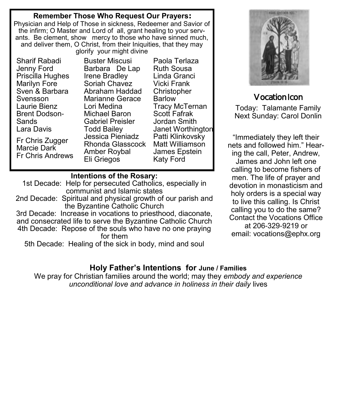#### **Remember Those Who Request Our Prayers:**

Physician and Help of Those in sickness, Redeemer and Savior of the infirm; O Master and Lord of all, grant healing to your servants. Be clement, show mercy to those who have sinned much, and deliver them, O Christ, from their Iniquities, that they may glorify your might divine

Sharif Rabadi Jenny Ford Priscilla Hughes Marilyn Fore Sven & Barbara Svensson Laurie Bienz Brent Dodson-Sands Lara Davis

Fr Chris Zugger Marcie Dark Fr Chris Andrews

Buster Miscusi Barbara De Lap Irene Bradley Soriah Chavez Abraham Haddad Marianne Gerace Lori Medina Michael Baron Gabriel Preisler Todd Bailey Jessica Pieniadz Rhonda Glasscock Amber Roybal Eli Griegos

Paola Terlaza Ruth Sousa Linda Granci Vicki Frank **Christopher** Barlow Tracy McTernan Scott Fafrak Jordan Smith Janet Worthington Patti Klinkovsky Matt Williamson James Epstein Katy Ford

#### **Intentions of the Rosary:**

1st Decade: Help for persecuted Catholics, especially in communist and Islamic states

2nd Decade: Spiritual and physical growth of our parish and the Byzantine Catholic Church

3rd Decade: Increase in vocations to priesthood, diaconate, and consecrated life to serve the Byzantine Catholic Church 4th Decade: Repose of the souls who have no one praying for them

5th Decade: Healing of the sick in body, mind and soul



Vocation Icon Today: Talamante Family Next Sunday: Carol Donlin

"Immediately they left their nets and followed him." Hearing the call, Peter, Andrew, James and John left one calling to become fishers of men. The life of prayer and devotion in monasticism and holy orders is a special way to live this calling. Is Christ calling you to do the same? Contact the Vocations Office at 206-329-9219 or email: [vocations@ephx.org](mailto:vocations@ephx.org%20) 

#### **Holy Father's Intentions for June / Families**

We pray for Christian families around the world; may they *embody and experience unconditional love and advance in holiness in their daily* lives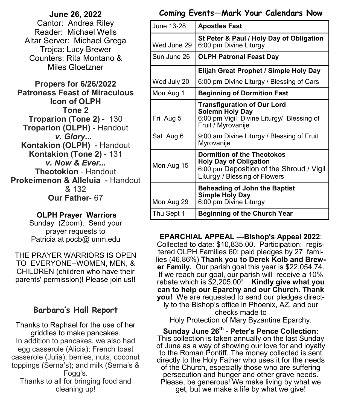#### **June 26, 2022**  Cantor: Andrea Riley Reader: Michael Wells Altar Server: Michael Grega Trojca: Lucy Brewer Counters: Rita Montano & Miles Gloetzner **Propers for 6/26/2022 Patroness Feast of Miraculous Icon of OLPH Tone 2 Troparion (Tone 2) -** 130 **Troparion (OLPH) -** Handout *v. Glory...*  **Kontakion (OLPH) -** Handout **Kontakion (Tone 2) -** 131 *v. Now & Ever...* **Theotokion** - Handout

**OLPH Prayer Warriors**  Sunday (Zoom). Send your prayer requests to Patricia at pocb@ unm.edu THE PRAYER WARRIORS IS OPEN

**Prokeimenon & Alleluia -** Handout & 132 **Our Father**- 67

TO EVERYONE--WOMEN, MEN, & CHILDREN (children who have their parents' permission)! Please join us!!

### **Barbara's Hall Report**

Thanks to Raphael for the use of her griddles to make pancakes. In addition to pancakes, we also had egg casserole (Alicia); French toast casserole (Julia); berries, nuts, coconut toppings (Serna's); and milk (Serna's & Fogg's. Thanks to all for bringing food and cleaning up!

## **Coming Events—Mark Your Calendars Now**

| June 13-28  | <b>Apostles Fast</b>                                                                                                                            |
|-------------|-------------------------------------------------------------------------------------------------------------------------------------------------|
| Wed June 29 | St Peter & Paul / Holy Day of Obligation<br>6:00 pm Divine Liturgy                                                                              |
| Sun June 26 | <b>OLPH Patronal Feast Day</b>                                                                                                                  |
|             | Elijah Great Prophet / Simple Holy Day                                                                                                          |
| Wed July 20 | 6:00 pm Divine Liturgy / Blessing of Cars                                                                                                       |
| Mon Aug 1   | <b>Beginning of Dormition Fast</b>                                                                                                              |
| Fri Aug 5   | <b>Transfiguration of Our Lord</b><br>Solemn Holy Day<br>6:00 pm Vigil Divine Liturgy/ Blessing of<br>Fruit / Myrovanije                        |
| Sat Aug 6   | 9:00 am Divine Liturgy / Blessing of Fruit<br>Myrovanije                                                                                        |
| Mon Aug 15  | <b>Dormition of the Theotokos</b><br><b>Holy Day of Obligation</b><br>6:00 pm Deposition of the Shroud / Vigil<br>Liturgy / Blessing of Flowers |
| Mon Aug 29  | <b>Beheading of John the Baptist</b><br>Simple Holy Day<br>6:00 pm Divine Liturgy                                                               |
| Thu Sept 1  | <b>Beginning of the Church Year</b>                                                                                                             |

#### **EPARCHIAL APPEAL —Bishop's Appeal 2022**:

Collected to date: \$10,835.00. Participation: registered OLPH Families 60; paid pledges by 27 families (46.86%) **Thank you to Derek Kolb and Brewer Family.** Our parish goal this year is \$22,054.74. If we reach our goal, our parish will receive a 10% rebate which is \$2,205.00! **Kindly give what you can to help our Eparchy and our Church. Thank you!** We are requested to send our pledges directly to the Bishop's office in Phoenix, AZ, and our checks made to Holy Protection of Mary Byzantine Eparchy.

**Sunday June 26th - Peter's Pence Collection:** This collection is taken annually on the last Sunday of June as a way of showing our love for and loyalty to the Roman Pontiff. The money collected is sent directly to the Holy Father who uses it for the needs of the Church, especially those who are suffering persecution and hunger and other grave needs. Please, be generous! We make living by what we get, but we make a life by what we give!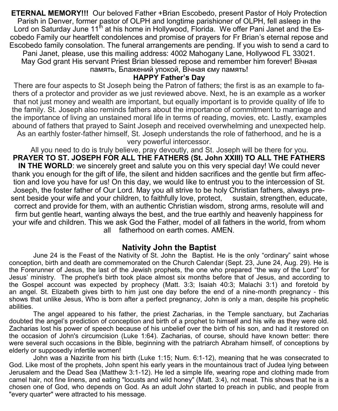**ETERNAL MEMORY!!!** Our beloved Father +Brian Escobedo, present Pastor of Holy Protection Parish in Denver, former pastor of OLPH and longtime parishioner of OLPH, fell asleep in the Lord on Saturday June 11<sup>th</sup> at his home in Hollywood, Florida. We offer Pani Janet and the Escobedo Family our heartfelt condolences and promise of prayers for Fr Brian's eternal repose and Escobedo family consolation. The funeral arrangements are pending. If you wish to send a card to Pani Janet, please, use this mailing address: 4002 Mahogany Lane, Hollywood FL 33021. May God grant His servant Priest Brian blessed repose and remember him forever! Вічная память, Блажений упокой, Вічная єму память!

#### **HAPPY Father's Day**

There are four aspects to St Joseph being the Patron of fathers; the first is as an example to fathers of a protector and provider as we just reviewed above. Next, he is an example as a worker that not just money and wealth are important, but equally important is to provide quality of life to the family. St. Joseph also reminds fathers about the importance of commitment to marriage and the importance of living an unstained moral life in terms of reading, movies, etc. Lastly, examples abound of fathers that prayed to Saint Joseph and received overwhelming and unexpected help. As an earthly foster-father himself, St. Joseph understands the role of fatherhood, and he is a

very powerful intercessor.

All you need to do is truly believe, pray devoutly, and St. Joseph will be there for you. **PRAYER TO ST. JOSEPH FOR ALL THE FATHERS (St. John XXIII) TO ALL THE FATHERS IN THE WORLD:** we sincerely greet and salute you on this very special day! We could never thank you enough for the gift of life, the silent and hidden sacrifices and the gentle but firm affection and love you have for us! On this day, we would like to entrust you to the intercession of St. Joseph, the foster father of Our Lord. May you all strive to be holy Christian fathers, always present beside your wife and your children, to faithfully love, protect, sustain, strengthen, educate, correct and provide for them, with an authentic Christian wisdom, strong arms, resolute will and firm but gentle heart, wanting always the best, and the true earthly and heavenly happiness for your wife and children. This we ask God the Father, model of all fathers in the world, from whom all fatherhood on earth comes. AMEN

#### **Nativity John the Baptist**

June 24 is the Feast of the Nativity of St. John the Baptist. He is the only "ordinary" saint whose conception, birth and death are commemorated on the Church Calendar (Sept. 23, June 24, Aug. 29). He is the Forerunner of Jesus, the last of the Jewish prophets, the one who prepared "the way of the Lord" for Jesus' ministry. The prophet's birth took place almost six months before that of Jesus, and according to the [Gospel](http://orthodoxwiki.org/Gospel) account was expected by prophecy [\(Matt.](http://orthodoxwiki.org/Gospel_of_Matthew) 3:3; Isaiah 40:3; [Mala](http://orthodoxwiki.org/index.php?title=Book_of_Malachi&action=edit&redlink=1)chi 3:1) and foretold by an [angel.](http://orthodoxwiki.org/Angel) St. Elizabeth gives birth to him just one day before the end of a nine-month pregnancy - this shows that unlike Jesus, Who is born after a perfect pregnancy, John is only a man, despite his prophetic abilities.

The angel appeared to his father, the priest Zacharias, in the Temple sanctuary, but Zacharias doubted the angel's prediction of conception and birth of a prophet to himself and his wife as they were old. Zacharias lost his power of speech because of his unbelief over the birth of his son, and had it restored on the occasion of John's circumcision (Luke 1:64). Zacharias, of course, should have known better: there were several such occasions in the Bible, beginning with the patriarch Abraham himself, of conceptions by elderly or supposedly infertile women!

John was a [Nazirite](http://orthodoxwiki.org/Nazarite) from his birth (Luke 1:15; [Num.](http://orthodoxwiki.org/Numbers) 6:1-12), meaning that he was consecrated to God. Like most of the prophets, John spent his early years in the mountainous tract of Judea lying between Jerusalem and the Dead Sea (Matthew 3:1-12). He led a simple life, wearing rope and clothing made from camel hair, not fine linens, and eating "locusts and wild honey" (Matt. 3:4), not meat. This shows that he is a chosen one of God, who depends on God. As an adult John started to preach in public, and people from "every quarter" were attracted to his message.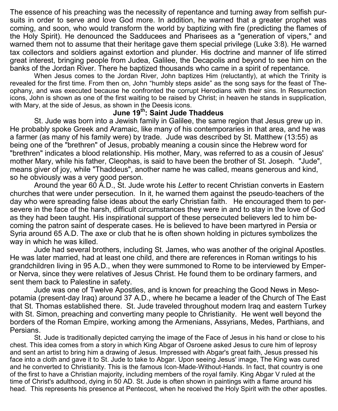The essence of his preaching was the necessity of repentance and turning away from selfish pursuits in order to serve and love God more. In addition, he warned that a greater prophet was coming, and soon, who would transform the world by baptizing with fire (predicting the flames of the Holy Spirit). He denounced the Sadducees and Pharisees as a "generation of vipers," and warned them not to assume that their heritage gave them special privilege (Luke 3:8). He warned tax collectors and soldiers against extortion and plunder. His doctrine and manner of life stirred great interest, bringing people from Judea, Galilee, the Decapolis and beyond to see him on the banks of the Jordan River. There he baptized thousands who came in a spirit of repentance.

When Jesus comes to the Jordan River, John baptizes Him (reluctantly), at which the Trinity is revealed for the first time. From then on, John "humbly steps aside" as the song says for the feast of Theophany, and was executed because he confronted the corrupt Herodians with their sins. In Resurrection icons, John is shown as one of the first waiting to be raised by Christ; in heaven he stands in supplication, with Mary, at the side of Jesus, as shown in the Deesis icons.

#### **June 19th: Saint Jude Thaddeus**

St. Jude was born into a Jewish family in Galilee, the same region that Jesus grew up in. He probably spoke Greek and Aramaic, like many of his contemporaries in that area, and he was a farmer (as many of his family were) by trade. Jude was described by St. Matthew (13:55) as being one of the "brethren" of Jesus, probably meaning a cousin since the Hebrew word for "brethren" indicates a blood relationship. His mother, Mary, was referred to as a cousin of Jesus' mother Mary, while his father, Cleophas, is said to have been the brother of St. Joseph. "Jude", means giver of joy, while "Thaddeus", another name he was called, means generous and kind, so he obviously was a very good person.

Around the year 60 A.D., St. Jude wrote his *Letter* to recent Christian converts in Eastern churches that were under persecution. In it, he warned them against the pseudo-teachers of the day who were spreading false ideas about the early Christian faith. He encouraged them to persevere in the face of the harsh, difficult circumstances they were in and to stay in the love of God as they had been taught. His inspirational support of these persecuted believers led to him becoming the patron saint of desperate cases. He is believed to have been martyred in Persia or Syria around 65 A.D. The axe or club that he is often shown holding in pictures symbolizes the way in which he was killed.

Jude had several brothers, including St. James, who was another of the original Apostles. He was later married, had at least one child, and there are references in Roman writings to his grandchildren living in 95 A.D., when they were summoned to Rome to be interviewed by Emperor Nerva, since they were relatives of Jesus Christ. He found them to be ordinary farmers, and sent them back to Palestine in safety.

Jude was one of Twelve Apostles, and is known for preaching the Good News in Mesopotamia (present-day Iraq) around 37 A.D., where he became a leader of the Church of The East that St. Thomas established there. St. Jude traveled throughout modern Iraq and eastern Turkey with St. Simon, preaching and converting many people to Christianity. He went well beyond the borders of the Roman Empire, working among the Armenians, Assyrians, Medes, Parthians, and Persians.

St. Jude is traditionally depicted carrying the image of the Face of Jesus in his hand or close to his chest. This idea comes from a story in which King Abgar of Osroene asked Jesus to cure him of leprosy and sent an artist to bring him a drawing of Jesus. Impressed with Abgar's great faith, Jesus pressed his face into a cloth and gave it to St. Jude to take to Abgar. Upon seeing Jesus' image, The King was cured and he converted to Christianity. This is the famous Icon-Made-Without-Hands. In fact, that country is one of the first to have a Christian majority, including members of the royal family. King Abgar V ruled at the time of Christ's adulthood, dying in 50 AD. St. Jude is often shown in paintings with a flame around his head. This represents his presence at Pentecost, when he received the Holy Spirit with the other apostles.